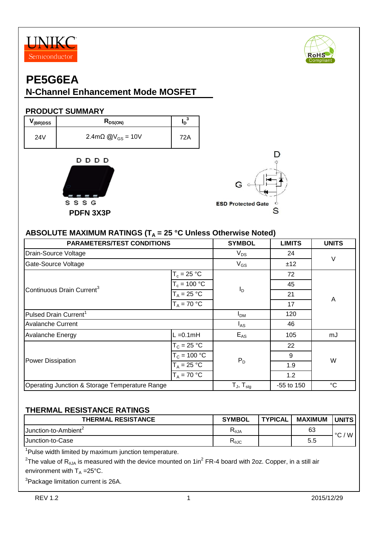



### **PE5G6EA**

### **N-Channel Enhancement Mode MOSFET**

#### **PRODUCT SUMMARY**

| (BR)DSS | <b>L</b> DS(ON)                            |      |
|---------|--------------------------------------------|------|
| 24V     | $2.4 \text{m}\Omega \text{ @V}_{GS} = 10V$ | 72 A |





#### ABSOLUTE MAXIMUM RATINGS (T<sub>A</sub> = 25 °C Unless Otherwise Noted)

| <b>PARAMETERS/TEST CONDITIONS</b>              | <b>SYMBOL</b>       | <b>LIMITS</b>  | <b>UNITS</b> |    |  |
|------------------------------------------------|---------------------|----------------|--------------|----|--|
| Drain-Source Voltage                           | $V_{DS}$            | 24             | $\vee$       |    |  |
| Gate-Source Voltage                            |                     | $V_{GS}$       | ±12          |    |  |
|                                                | $T_c = 25 °C$       |                | 72           |    |  |
| Continuous Drain Current <sup>3</sup>          | $T_c = 100 °C$      | $I_D$          | 45           |    |  |
|                                                | $T_A = 25 °C$       |                | 21           | A  |  |
|                                                | $T_A = 70 °C$       |                | 17           |    |  |
| Pulsed Drain Current <sup>1</sup>              | I <sub>DM</sub>     | 120            |              |    |  |
| <b>Avalanche Current</b>                       | $I_{AS}$            | 46             |              |    |  |
| <b>Avalanche Energy</b>                        | L =0.1mH            | $E_{AS}$       | 105          | mJ |  |
|                                                | $T_c = 25 °C$       |                | 22           |    |  |
| <b>Power Dissipation</b>                       | $T_c = 100 °C$      | $P_D$          | 9            | W  |  |
|                                                | $T_A = 25 °C$       |                | 1.9          |    |  |
|                                                | $T_A = 70 °C$       |                | 1.2          |    |  |
| Operating Junction & Storage Temperature Range | $T_{J}$ , $T_{stq}$ | $-55$ to $150$ | $^{\circ}C$  |    |  |

#### **THERMAL RESISTANCE RATINGS**

| <b>THERMAL RESISTANCE</b>               | <b>SYMBOL</b>                         | <b>TYPICAL</b> | <b>MAXIMUM</b> | <b>UNITS</b> |
|-----------------------------------------|---------------------------------------|----------------|----------------|--------------|
| <b>IJunction-to-Ambient<sup>2</sup></b> | $\mathsf{R}_{\boldsymbol{\theta}}$ JA |                | 63             | W<br>$\sim$  |
| IJunction-to-Case                       | $R_{\theta$ JC                        |                | 5.5            |              |

<sup>1</sup>Pulse width limited by maximum junction temperature.

 $^2$ The value of R<sub>θJA</sub> is measured with the device mounted on 1in $^2$  FR-4 board with 2oz. Copper, in a still air environment with  $T_A = 25^{\circ}C$ .

<sup>3</sup>Package limitation current is 26A.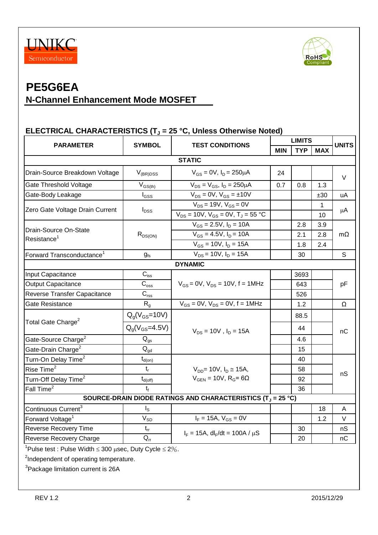



#### **ELECTRICAL CHARACTERISTICS (T<sup>J</sup> = 25 °C, Unless Otherwise Noted)**

| <b>PARAMETER</b>                                                                  | <b>SYMBOL</b>              |                                                    | <b>LIMITS</b> |            |              | <b>UNITS</b> |  |
|-----------------------------------------------------------------------------------|----------------------------|----------------------------------------------------|---------------|------------|--------------|--------------|--|
|                                                                                   | <b>TEST CONDITIONS</b>     |                                                    | <b>MIN</b>    | <b>TYP</b> | <b>MAX</b>   |              |  |
| <b>STATIC</b>                                                                     |                            |                                                    |               |            |              |              |  |
| Drain-Source Breakdown Voltage                                                    | $V_{(BR)DSS}$              | $V_{GS} = 0V$ , $I_D = 250 \mu A$                  | 24            |            |              | V            |  |
| Gate Threshold Voltage                                                            | $V_{GS(th)}$               | $V_{DS} = V_{GS}$ , $I_D = 250 \mu A$              | 0.7           | 0.8        | 1.3          |              |  |
| Gate-Body Leakage                                                                 | $I_{GSS}$                  | $V_{DS} = 0V$ , $V_{GS} = \pm 10V$                 |               |            | ±30          | uA           |  |
|                                                                                   |                            | $V_{DS}$ = 19V, $V_{GS}$ = 0V                      |               |            | $\mathbf{1}$ |              |  |
| Zero Gate Voltage Drain Current                                                   | $I_{DSS}$                  | $V_{DS} = 10V$ , $V_{GS} = 0V$ , $T_J = 55 °C$     |               |            | 10           | μA           |  |
| Drain-Source On-State                                                             |                            | $V_{GS} = 2.5V, I_D = 10A$                         |               | 2.8        | 3.9          |              |  |
| Resistance <sup>1</sup>                                                           | $R_{DS(ON)}$               | $V_{GS} = 4.5V$ , $I_D = 10A$                      |               | 2.1        | 2.8          | $m\Omega$    |  |
|                                                                                   |                            | $V_{GS} = 10V$ , $I_D = 15A$                       |               | 1.8        | 2.4          |              |  |
| Forward Transconductance <sup>1</sup>                                             | g <sub>fs</sub>            | $V_{DS}$ = 10V, $I_D$ = 15A                        |               | 30         |              | S            |  |
|                                                                                   |                            | <b>DYNAMIC</b>                                     |               |            |              |              |  |
| Input Capacitance                                                                 | $C_{\hbox{\tiny lss}}$     |                                                    |               | 3693       |              | pF           |  |
| <b>Output Capacitance</b>                                                         | $\mathbf{C}_{\text{oss}}$  | $V_{GS} = 0V$ , $V_{DS} = 10V$ , f = 1MHz          |               | 643        |              |              |  |
| Reverse Transfer Capacitance                                                      | $C_{\text{rss}}$           |                                                    |               | 526        |              |              |  |
| Gate Resistance                                                                   | $R_{q}$                    | $V_{GS} = 0V$ , $V_{DS} = 0V$ , $f = 1MHz$         |               | 1.2        |              | Ω            |  |
|                                                                                   | $Qg(VGS=10V)$              |                                                    |               | 88.5       |              | nC           |  |
| Total Gate Charge <sup>2</sup>                                                    | $Q_q(V_{GS} = 4.5V)$       | $V_{DS} = 10V$ , $I_D = 15A$                       |               | 44         |              |              |  |
| Gate-Source Charge <sup>2</sup>                                                   | $\mathsf{Q}_{\mathsf{gs}}$ |                                                    |               | 4.6        |              |              |  |
| Gate-Drain Charge <sup>2</sup>                                                    | $\mathsf{Q}_{\mathsf{gd}}$ |                                                    |               | 15         |              |              |  |
| Turn-On Delay Time <sup>2</sup>                                                   | $t_{d(on)}$                |                                                    |               | 40         |              |              |  |
| Rise Time <sup>2</sup>                                                            | $t_{r}$                    | $V_{DD}$ = 10V, $I_D \approx 15A$ ,                |               | 58         |              | nS           |  |
| Turn-Off Delay Time <sup>2</sup>                                                  | $t_{d(\text{off})}$        | $V_{GEN}$ = 10V, R <sub>G</sub> = 6 $\Omega$       |               | 92         |              |              |  |
| Fall Time <sup>2</sup>                                                            | t٠                         |                                                    |               | 36         |              |              |  |
| SOURCE-DRAIN DIODE RATINGS AND CHARACTERISTICS (T <sub>J</sub> = 25 °C)           |                            |                                                    |               |            |              |              |  |
| Continuous Current <sup>3</sup>                                                   | $I_{\rm S}$                |                                                    |               |            | 18           | A            |  |
| Forward Voltage <sup>1</sup>                                                      | $\rm V_{SD}$               | $I_F = 15A, V_{GS} = 0V$                           |               |            | 1.2          | V            |  |
| Reverse Recovery Time                                                             | $t_{rr}$                   | $I_F = 15A$ , dl <sub>F</sub> /dt = 100A / $\mu$ S |               | 30         |              | nS           |  |
| Reverse Recovery Charge                                                           | $Q_{rr}$                   |                                                    |               | 20         |              | nC           |  |
| <sup>1</sup> Pulse test : Pulse Width $\leq$ 300 $\mu$ sec, Duty Cycle $\leq$ 2%. |                            |                                                    |               |            |              |              |  |

<sup>2</sup>Independent of operating temperature.

<sup>3</sup>Package limitation current is 26A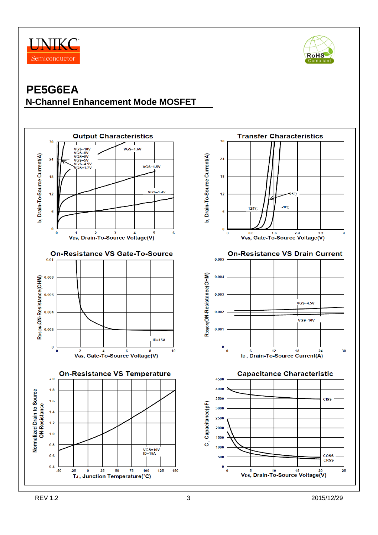



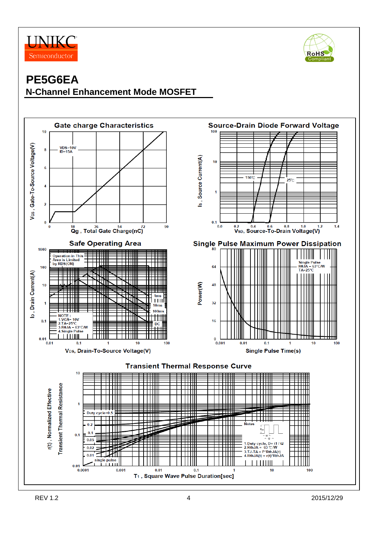



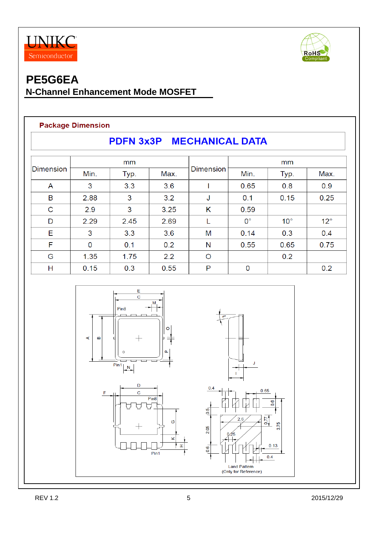



#### **Package Dimension**

| PDFN 3x3P MECHANICAL DATA |      |      |      |                  |             |              |              |  |
|---------------------------|------|------|------|------------------|-------------|--------------|--------------|--|
|                           |      | mm   |      | <b>Dimension</b> | mm          |              |              |  |
| Dimension                 | Min. | Typ. | Max. |                  | Min.        | Typ.         | Max.         |  |
| A                         | 3    | 3.3  | 3.6  |                  | 0.65        | 0.8          | 0.9          |  |
| B                         | 2.88 | 3    | 3.2  | J                | 0.1         | 0.15         | 0.25         |  |
| C                         | 2.9  | 3    | 3.25 | Κ                | 0.59        |              |              |  |
| D                         | 2.29 | 2.45 | 2.69 |                  | $0^{\circ}$ | $10^{\circ}$ | $12^{\circ}$ |  |
| Е                         | 3    | 3.3  | 3.6  | M                | 0.14        | 0.3          | 0.4          |  |
| F                         | 0    | 0.1  | 0.2  | N                | 0.55        | 0.65         | 0.75         |  |
| G                         | 1.35 | 1.75 | 2.2  | $\Omega$         |             | 0.2          |              |  |
| Н                         | 0.15 | 0.3  | 0.55 | P                | 0           |              | 0.2          |  |

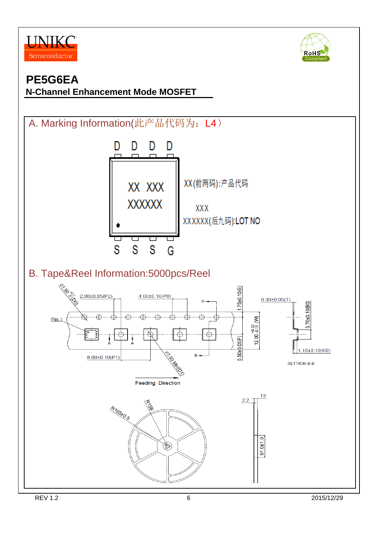



# **PE5G6EA**

#### **N-Channel Enhancement Mode MOSFET**

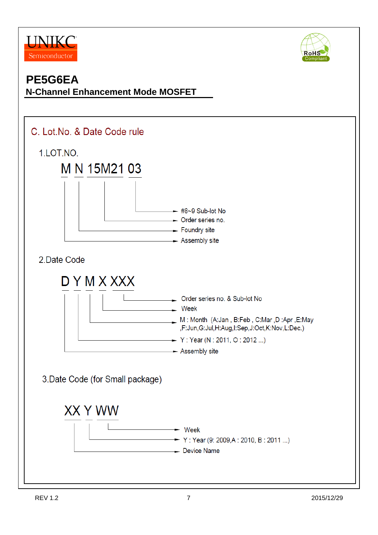